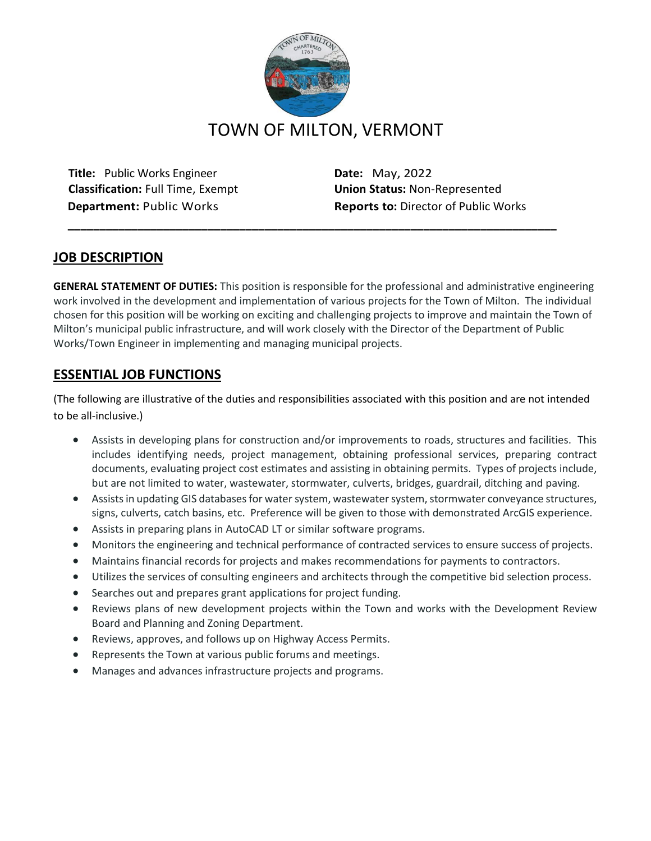

**Title:** Public Works Engineer **Date:** May, 2022 **Classification:** Full Time, Exempt **Union Status:** Non-Represented

**Department:** Public Works **Reports to:** Director of Public Works

# **JOB DESCRIPTION**

**GENERAL STATEMENT OF DUTIES:** This position is responsible for the professional and administrative engineering work involved in the development and implementation of various projects for the Town of Milton. The individual chosen for this position will be working on exciting and challenging projects to improve and maintain the Town of Milton's municipal public infrastructure, and will work closely with the Director of the Department of Public Works/Town Engineer in implementing and managing municipal projects.

**\_\_\_\_\_\_\_\_\_\_\_\_\_\_\_\_\_\_\_\_\_\_\_\_\_\_\_\_\_\_\_\_\_\_\_\_\_\_\_\_\_\_\_\_\_\_\_\_\_\_\_\_\_\_\_\_\_\_\_\_\_\_\_\_\_\_\_\_\_\_\_\_\_\_\_\_\_**

# **ESSENTIAL JOB FUNCTIONS**

(The following are illustrative of the duties and responsibilities associated with this position and are not intended to be all-inclusive.)

- Assists in developing plans for construction and/or improvements to roads, structures and facilities. This includes identifying needs, project management, obtaining professional services, preparing contract documents, evaluating project cost estimates and assisting in obtaining permits. Types of projects include, but are not limited to water, wastewater, stormwater, culverts, bridges, guardrail, ditching and paving.
- Assists in updating GIS databases for water system, wastewater system, stormwater conveyance structures, signs, culverts, catch basins, etc. Preference will be given to those with demonstrated ArcGIS experience.
- Assists in preparing plans in AutoCAD LT or similar software programs.
- Monitors the engineering and technical performance of contracted services to ensure success of projects.
- Maintains financial records for projects and makes recommendations for payments to contractors.
- Utilizes the services of consulting engineers and architects through the competitive bid selection process.
- Searches out and prepares grant applications for project funding.
- Reviews plans of new development projects within the Town and works with the Development Review Board and Planning and Zoning Department.
- Reviews, approves, and follows up on Highway Access Permits.
- Represents the Town at various public forums and meetings.
- Manages and advances infrastructure projects and programs.